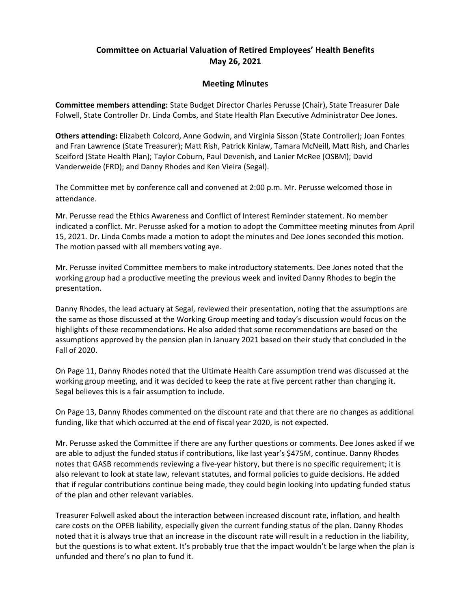## Committee on Actuarial Valuation of Retired Employees' Health Benefits May 26, 2021

## Meeting Minutes

Committee members attending: State Budget Director Charles Perusse (Chair), State Treasurer Dale Folwell, State Controller Dr. Linda Combs, and State Health Plan Executive Administrator Dee Jones.

Others attending: Elizabeth Colcord, Anne Godwin, and Virginia Sisson (State Controller); Joan Fontes and Fran Lawrence (State Treasurer); Matt Rish, Patrick Kinlaw, Tamara McNeill, Matt Rish, and Charles Sceiford (State Health Plan); Taylor Coburn, Paul Devenish, and Lanier McRee (OSBM); David Vanderweide (FRD); and Danny Rhodes and Ken Vieira (Segal).

The Committee met by conference call and convened at 2:00 p.m. Mr. Perusse welcomed those in attendance.

Mr. Perusse read the Ethics Awareness and Conflict of Interest Reminder statement. No member indicated a conflict. Mr. Perusse asked for a motion to adopt the Committee meeting minutes from April 15, 2021. Dr. Linda Combs made a motion to adopt the minutes and Dee Jones seconded this motion. The motion passed with all members voting aye.

Mr. Perusse invited Committee members to make introductory statements. Dee Jones noted that the working group had a productive meeting the previous week and invited Danny Rhodes to begin the presentation.

Danny Rhodes, the lead actuary at Segal, reviewed their presentation, noting that the assumptions are the same as those discussed at the Working Group meeting and today's discussion would focus on the highlights of these recommendations. He also added that some recommendations are based on the assumptions approved by the pension plan in January 2021 based on their study that concluded in the Fall of 2020.

On Page 11, Danny Rhodes noted that the Ultimate Health Care assumption trend was discussed at the working group meeting, and it was decided to keep the rate at five percent rather than changing it. Segal believes this is a fair assumption to include.

On Page 13, Danny Rhodes commented on the discount rate and that there are no changes as additional funding, like that which occurred at the end of fiscal year 2020, is not expected.

Mr. Perusse asked the Committee if there are any further questions or comments. Dee Jones asked if we are able to adjust the funded status if contributions, like last year's \$475M, continue. Danny Rhodes notes that GASB recommends reviewing a five-year history, but there is no specific requirement; it is also relevant to look at state law, relevant statutes, and formal policies to guide decisions. He added that if regular contributions continue being made, they could begin looking into updating funded status of the plan and other relevant variables.

Treasurer Folwell asked about the interaction between increased discount rate, inflation, and health care costs on the OPEB liability, especially given the current funding status of the plan. Danny Rhodes noted that it is always true that an increase in the discount rate will result in a reduction in the liability, but the questions is to what extent. It's probably true that the impact wouldn't be large when the plan is unfunded and there's no plan to fund it.